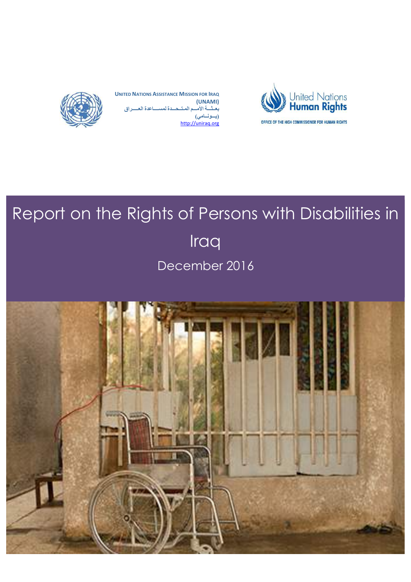

**UNITED NATIONS ASSISTANCE MISSION FOR IRAQ (UNAMI) بعــثـــة الأمـــم المـتــحـــدة لمســــاعدة العـــــراق (یـــونــامي)** http://uniraq.org



# Report on the Rights of Persons with Disabilities in Iraq December 2016

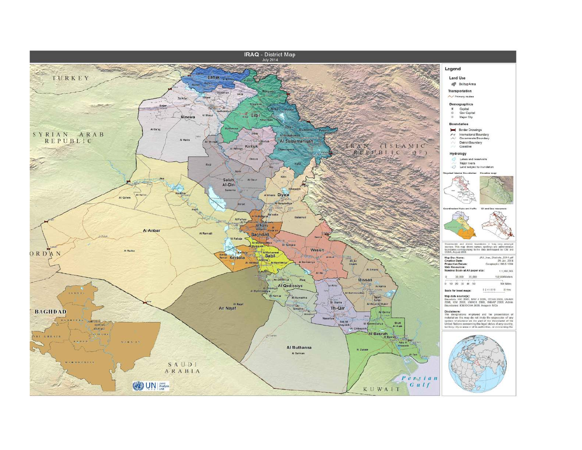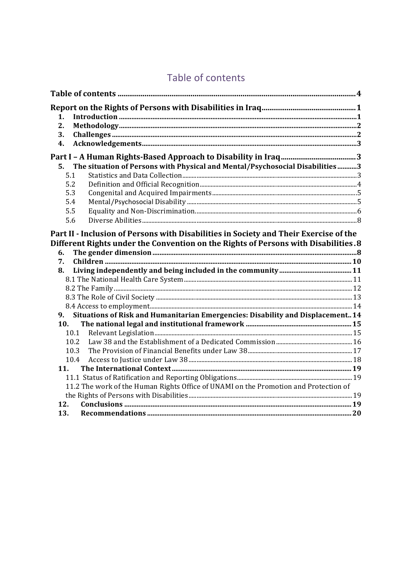## Table of contents

| 1.<br>2.<br>3.                                                                                 |  |
|------------------------------------------------------------------------------------------------|--|
| 4.                                                                                             |  |
|                                                                                                |  |
| The situation of Persons with Physical and Mental/Psychosocial Disabilities3<br>5.             |  |
| 5.1                                                                                            |  |
| 5.2                                                                                            |  |
| 5.3                                                                                            |  |
| 5.4                                                                                            |  |
| 5.5                                                                                            |  |
| 5.6                                                                                            |  |
| Different Rights under the Convention on the Rights of Persons with Disabilities.8<br>6.<br>7. |  |
| 8.                                                                                             |  |
|                                                                                                |  |
|                                                                                                |  |
|                                                                                                |  |
|                                                                                                |  |
| Situations of Risk and Humanitarian Emergencies: Disability and Displacement 14<br>9.          |  |
| 10.                                                                                            |  |
| 10.1                                                                                           |  |
| 10.2                                                                                           |  |
| 10.3                                                                                           |  |
| 10.4                                                                                           |  |
| 11.                                                                                            |  |
|                                                                                                |  |
| 11.2 The work of the Human Rights Office of UNAMI on the Promotion and Protection of           |  |
|                                                                                                |  |
| 12.                                                                                            |  |
| 13.                                                                                            |  |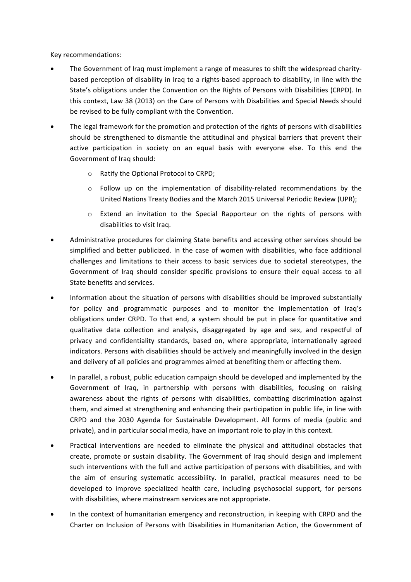Key recommendations:

- The Government of Iraq must implement a range of measures to shift the widespread charitybased perception of disability in Iraq to a rights-based approach to disability, in line with the State's obligations under the Convention on the Rights of Persons with Disabilities (CRPD). In this context, Law 38 (2013) on the Care of Persons with Disabilities and Special Needs should be revised to be fully compliant with the Convention.
- The legal framework for the promotion and protection of the rights of persons with disabilities should be strengthened to dismantle the attitudinal and physical barriers that prevent their active participation in society on an equal basis with everyone else. To this end the Government of Iraq should:
	- o Ratify the Optional Protocol to CRPD;
	- $\circ$  Follow up on the implementation of disability-related recommendations by the United Nations Treaty Bodies and the March 2015 Universal Periodic Review (UPR);
	- $\circ$  Extend an invitation to the Special Rapporteur on the rights of persons with disabilities to visit Iraq.
- Administrative procedures for claiming State benefits and accessing other services should be simplified and better publicized. In the case of women with disabilities, who face additional challenges and limitations to their access to basic services due to societal stereotypes, the Government of Iraq should consider specific provisions to ensure their equal access to all State benefits and services.
- Information about the situation of persons with disabilities should be improved substantially for policy and programmatic purposes and to monitor the implementation of Iraq's obligations under CRPD. To that end, a system should be put in place for quantitative and qualitative data collection and analysis, disaggregated by age and sex, and respectful of privacy and confidentiality standards, based on, where appropriate, internationally agreed indicators. Persons with disabilities should be actively and meaningfully involved in the design and delivery of all policies and programmes aimed at benefiting them or affecting them.
- In parallel, a robust, public education campaign should be developed and implemented by the Government of Iraq, in partnership with persons with disabilities, focusing on raising awareness about the rights of persons with disabilities, combatting discrimination against them, and aimed at strengthening and enhancing their participation in public life, in line with CRPD and the 2030 Agenda for Sustainable Development. All forms of media (public and private), and in particular social media, have an important role to play in this context.
- Practical interventions are needed to eliminate the physical and attitudinal obstacles that create, promote or sustain disability. The Government of Iraq should design and implement such interventions with the full and active participation of persons with disabilities, and with the aim of ensuring systematic accessibility. In parallel, practical measures need to be developed to improve specialized health care, including psychosocial support, for persons with disabilities, where mainstream services are not appropriate.
- In the context of humanitarian emergency and reconstruction, in keeping with CRPD and the Charter on Inclusion of Persons with Disabilities in Humanitarian Action, the Government of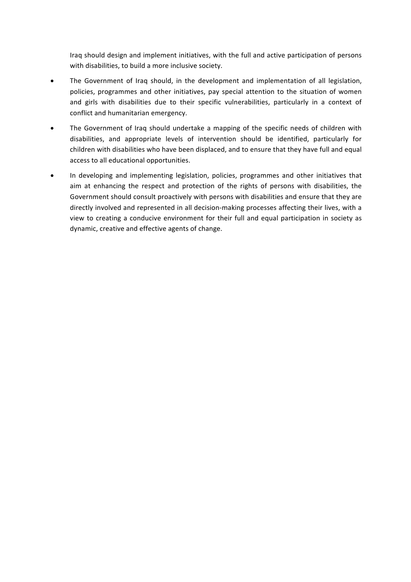Iraq should design and implement initiatives, with the full and active participation of persons with disabilities, to build a more inclusive society.

- The Government of Iraq should, in the development and implementation of all legislation, policies, programmes and other initiatives, pay special attention to the situation of women and girls with disabilities due to their specific vulnerabilities, particularly in a context of conflict and humanitarian emergency.
- The Government of Iraq should undertake a mapping of the specific needs of children with disabilities, and appropriate levels of intervention should be identified, particularly for children with disabilities who have been displaced, and to ensure that they have full and equal access to all educational opportunities.
- In developing and implementing legislation, policies, programmes and other initiatives that aim at enhancing the respect and protection of the rights of persons with disabilities, the Government should consult proactively with persons with disabilities and ensure that they are directly involved and represented in all decision-making processes affecting their lives, with a view to creating a conducive environment for their full and equal participation in society as dynamic, creative and effective agents of change.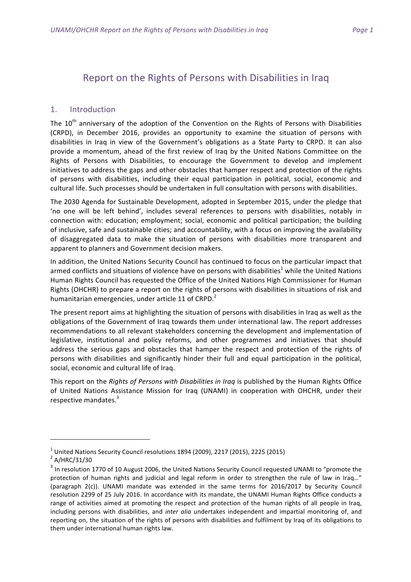### Report on the Rights of Persons with Disabilities in Iraq

#### 1. Introduction

The  $10<sup>th</sup>$  anniversary of the adoption of the Convention on the Rights of Persons with Disabilities (CRPD), in December 2016, provides an opportunity to examine the situation of persons with disabilities in Iraq in view of the Government's obligations as a State Party to CRPD. It can also provide a momentum, ahead of the first review of Iraq by the United Nations Committee on the Rights of Persons with Disabilities, to encourage the Government to develop and implement initiatives to address the gaps and other obstacles that hamper respect and protection of the rights of persons with disabilities, including their equal participation in political, social, economic and cultural life. Such processes should be undertaken in full consultation with persons with disabilities.

The 2030 Agenda for Sustainable Development, adopted in September 2015, under the pledge that 'no one will be left behind', includes several references to persons with disabilities, notably in connection with: education; employment; social, economic and political participation; the building of inclusive, safe and sustainable cities; and accountability, with a focus on improving the availability of disaggregated data to make the situation of persons with disabilities more transparent and apparent to planners and Government decision makers.

In addition, the United Nations Security Council has continued to focus on the particular impact that armed conflicts and situations of violence have on persons with disabilities<sup>1</sup> while the United Nations Human Rights Council has requested the Office of the United Nations High Commissioner for Human Rights (OHCHR) to prepare a report on the rights of persons with disabilities in situations of risk and humanitarian emergencies, under article 11 of CRPD.<sup>2</sup>

The present report aims at highlighting the situation of persons with disabilities in Iraq as well as the obligations of the Government of Iraq towards them under international law. The report addresses recommendations to all relevant stakeholders concerning the development and implementation of legislative, institutional and policy reforms, and other programmes and initiatives that should address the serious gaps and obstacles that hamper the respect and protection of the rights of persons with disabilities and significantly hinder their full and equal participation in the political, social, economic and cultural life of Iraq.

This report on the *Rights of Persons with Disabilities in Iraq* is published by the Human Rights Office of United Nations Assistance Mission for Iraq (UNAMI) in cooperation with OHCHR, under their respective mandates. $3$ 

<sup>&</sup>lt;sup>1</sup> United Nations Security Council resolutions 1894 (2009), 2217 (2015), 2225 (2015)<br><sup>2</sup> A/HRC/31/30

 $3$  In resolution 1770 of 10 August 2006, the United Nations Security Council requested UNAMI to "promote the protection of human rights and judicial and legal reform in order to strengthen the rule of law in Iraq..." (paragraph 2(c)). UNAMI mandate was extended in the same terms for 2016/2017 by Security Council resolution 2299 of 25 July 2016. In accordance with its mandate, the UNAMI Human Rights Office conducts a range of activities aimed at promoting the respect and protection of the human rights of all people in Iraq, including persons with disabilities, and *inter alia* undertakes independent and impartial monitoring of, and reporting on, the situation of the rights of persons with disabilities and fulfilment by Iraq of its obligations to them under international human rights law.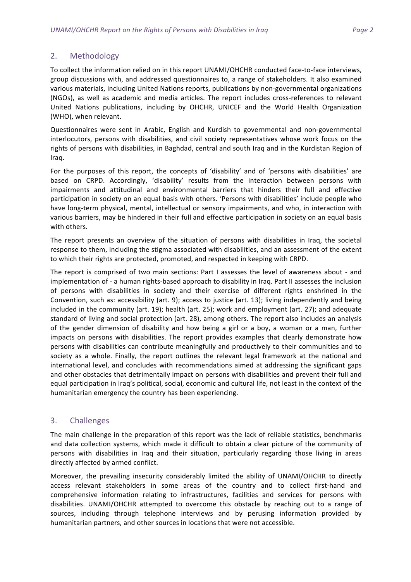#### 2. Methodology

To collect the information relied on in this report UNAMI/OHCHR conducted face-to-face interviews, group discussions with, and addressed questionnaires to, a range of stakeholders. It also examined various materials, including United Nations reports, publications by non-governmental organizations (NGOs), as well as academic and media articles. The report includes cross-references to relevant United Nations publications, including by OHCHR, UNICEF and the World Health Organization (WHO), when relevant.

Questionnaires were sent in Arabic, English and Kurdish to governmental and non-governmental interlocutors, persons with disabilities, and civil society representatives whose work focus on the rights of persons with disabilities, in Baghdad, central and south Iraq and in the Kurdistan Region of Iraq. 

For the purposes of this report, the concepts of 'disability' and of 'persons with disabilities' are based on CRPD. Accordingly, 'disability' results from the interaction between persons with impairments and attitudinal and environmental barriers that hinders their full and effective participation in society on an equal basis with others. 'Persons with disabilities' include people who have long-term physical, mental, intellectual or sensory impairments, and who, in interaction with various barriers, may be hindered in their full and effective participation in society on an equal basis with others.

The report presents an overview of the situation of persons with disabilities in Iraq, the societal response to them, including the stigma associated with disabilities, and an assessment of the extent to which their rights are protected, promoted, and respected in keeping with CRPD.

The report is comprised of two main sections: Part I assesses the level of awareness about - and implementation of - a human rights-based approach to disability in Iraq. Part II assesses the inclusion of persons with disabilities in society and their exercise of different rights enshrined in the Convention, such as: accessibility (art. 9); access to justice (art. 13); living independently and being included in the community (art. 19); health (art. 25); work and employment (art. 27); and adequate standard of living and social protection (art. 28), among others. The report also includes an analysis of the gender dimension of disability and how being a girl or a boy, a woman or a man, further impacts on persons with disabilities. The report provides examples that clearly demonstrate how persons with disabilities can contribute meaningfully and productively to their communities and to society as a whole. Finally, the report outlines the relevant legal framework at the national and international level, and concludes with recommendations aimed at addressing the significant gaps and other obstacles that detrimentally impact on persons with disabilities and prevent their full and equal participation in Iraq's political, social, economic and cultural life, not least in the context of the humanitarian emergency the country has been experiencing.

#### 3. Challenges

The main challenge in the preparation of this report was the lack of reliable statistics, benchmarks and data collection systems, which made it difficult to obtain a clear picture of the community of persons with disabilities in Iraq and their situation, particularly regarding those living in areas directly affected by armed conflict.

Moreover, the prevailing insecurity considerably limited the ability of UNAMI/OHCHR to directly access relevant stakeholders in some areas of the country and to collect first-hand and comprehensive information relating to infrastructures, facilities and services for persons with disabilities. UNAMI/OHCHR attempted to overcome this obstacle by reaching out to a range of sources, including through telephone interviews and by perusing information provided by humanitarian partners, and other sources in locations that were not accessible.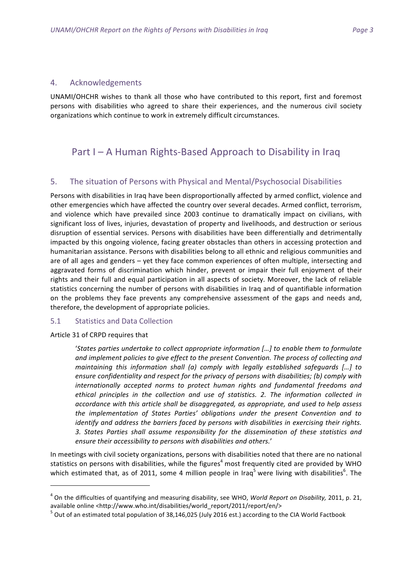#### 4. Acknowledgements

UNAMI/OHCHR wishes to thank all those who have contributed to this report, first and foremost persons with disabilities who agreed to share their experiences, and the numerous civil society organizations which continue to work in extremely difficult circumstances.

## Part  $I - A$  Human Rights-Based Approach to Disability in Iraq

#### 5. The situation of Persons with Physical and Mental/Psychosocial Disabilities

Persons with disabilities in Iraq have been disproportionally affected by armed conflict, violence and other emergencies which have affected the country over several decades. Armed conflict, terrorism, and violence which have prevailed since 2003 continue to dramatically impact on civilians, with significant loss of lives, injuries, devastation of property and livelihoods, and destruction or serious disruption of essential services. Persons with disabilities have been differentially and detrimentally impacted by this ongoing violence, facing greater obstacles than others in accessing protection and humanitarian assistance. Persons with disabilities belong to all ethnic and religious communities and are of all ages and genders – yet they face common experiences of often multiple, intersecting and aggravated forms of discrimination which hinder, prevent or impair their full enjoyment of their rights and their full and equal participation in all aspects of society. Moreover, the lack of reliable statistics concerning the number of persons with disabilities in Iraq and of quantifiable information on the problems they face prevents any comprehensive assessment of the gaps and needs and, therefore, the development of appropriate policies.

#### 5.1 Statistics and Data Collection

Article 31 of CRPD requires that

<u> 1989 - Johann Barn, mars ann an t-Amhain an t-Amhain an t-Amhain an t-Amhain an t-Amhain an t-Amhain an t-Amh</u>

'States parties undertake to collect appropriate information [...] to enable them to formulate and implement policies to give effect to the present Convention. The process of collecting and *maintaining this information shall (a) comply with legally established safeguards [...]* to *ensure confidentiality and respect for the privacy of persons with disabilities; (b) comply with* internationally accepted norms to protect human rights and fundamental freedoms and ethical principles in the collection and use of statistics. 2. The information collected in accordance with this article shall be disaggregated, as appropriate, and used to help assess the implementation of States Parties' obligations under the present Convention and to *identify* and address the barriers faced by persons with disabilities in exercising their rights. 3. States Parties shall assume responsibility for the dissemination of these statistics and ensure their accessibility to persons with disabilities and others.'

In meetings with civil society organizations, persons with disabilities noted that there are no national statistics on persons with disabilities, while the figures<sup>4</sup> most frequently cited are provided by WHO which estimated that, as of 2011, some 4 million people in Iraq<sup>5</sup> were living with disabilities<sup>6</sup>. The

<sup>&</sup>lt;sup>4</sup> On the difficulties of quantifying and measuring disability, see WHO, *World Report on Disability*, 2011, p. 21, available online <http://www.who.int/disabilities/world\_report/2011/report/en/>

 $^5$  Out of an estimated total population of 38,146,025 (July 2016 est.) according to the CIA World Factbook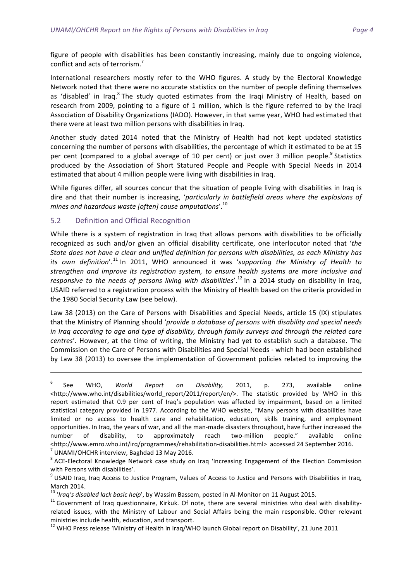figure of people with disabilities has been constantly increasing, mainly due to ongoing violence, conflict and acts of terrorism.<sup>7</sup>

International researchers mostly refer to the WHO figures. A study by the Electoral Knowledge Network noted that there were no accurate statistics on the number of people defining themselves as 'disabled' in Iraq.<sup>8</sup> The study quoted estimates from the Iraqi Ministry of Health, based on research from 2009, pointing to a figure of 1 million, which is the figure referred to by the Iraqi Association of Disability Organizations (IADO). However, in that same year, WHO had estimated that there were at least two million persons with disabilities in Iraq.

Another study dated 2014 noted that the Ministry of Health had not kept updated statistics concerning the number of persons with disabilities, the percentage of which it estimated to be at 15 per cent (compared to a global average of 10 per cent) or just over 3 million people.<sup>9</sup> Statistics produced by the Association of Short Statured People and People with Special Needs in 2014 estimated that about 4 million people were living with disabilities in Iraq.

While figures differ, all sources concur that the situation of people living with disabilities in Iraq is dire and that their number is increasing, 'particularly in battlefield areas where the explosions of mines and hazardous waste [often] cause amputations'.<sup>10</sup>

#### 5.2 Definition and Official Recognition

While there is a system of registration in Iraq that allows persons with disabilities to be officially recognized as such and/or given an official disability certificate, one interlocutor noted that 'the State does not have a clear and unified definition for persons with disabilities, as each Ministry has its own definition'.<sup>11</sup> In 2011, WHO announced it was 'supporting the Ministry of Health to *strengthen and improve its registration system, to ensure health systems are more inclusive and*  responsive to the needs of persons living with disabilities'.<sup>12</sup> In a 2014 study on disability in Iraq, USAID referred to a registration process with the Ministry of Health based on the criteria provided in the 1980 Social Security Law (see below).

Law 38 (2013) on the Care of Persons with Disabilities and Special Needs, article 15 (IX) stipulates that the Ministry of Planning should 'provide a database of persons with disability and special needs *in* Iraq according to age and type of disability, through family surveys and through the related care *centres'*. However, at the time of writing, the Ministry had yet to establish such a database. The Commission on the Care of Persons with Disabilities and Special Needs - which had been established by Law 38 (2013) to oversee the implementation of Government policies related to improving the

<u> 1989 - Andrea Santa Andrea Andrea Andrea Andrea Andrea Andrea Andrea Andrea Andrea Andrea Andrea Andrea Andr</u>

<sup>&</sup>lt;sup>6</sup> See WHO, *World Report on Disability,* 2011, p. 273, available online <http://www.who.int/disabilities/world report/2011/report/en/>. The statistic provided by WHO in this report estimated that 0.9 per cent of Iraq's population was affected by impairment, based on a limited statistical category provided in 1977. According to the WHO website, "Many persons with disabilities have limited or no access to health care and rehabilitation, education, skills training, and employment opportunities. In Iraq, the years of war, and all the man-made disasters throughout, have further increased the number of disability, to approximately reach two-million people." available online <http://www.emro.who.int/irq/programmes/rehabilitation-disabilities.html> accessed 24 September 2016.<br><sup>7</sup> UNAMI/OHCHR interview, Baghdad 13 May 2016.

 $8$  ACE-Electoral Knowledge Network case study on Iraq 'Increasing Engagement of the Election Commission

with Persons with disabilities'.<br> $9$  USAID Iraq, Iraq Access to Justice Program, Values of Access to Justice and Persons with Disabilities in Iraq, March 2014.<br><sup>10</sup> 'Iraq's disabled lack basic help', by Wassim Bassem, posted in Al-Monitor on 11 August 2015.<br><sup>11</sup> Government of Iraq questionnaire, Kirkuk. Of note, there are several ministries who deal with disability-

related issues, with the Ministry of Labour and Social Affairs being the main responsible. Other relevant ministries include health, education, and transport.<br><sup>12</sup> WHO Press release 'Ministry of Health in Iraq/WHO launch Global report on Disability', 21 June 2011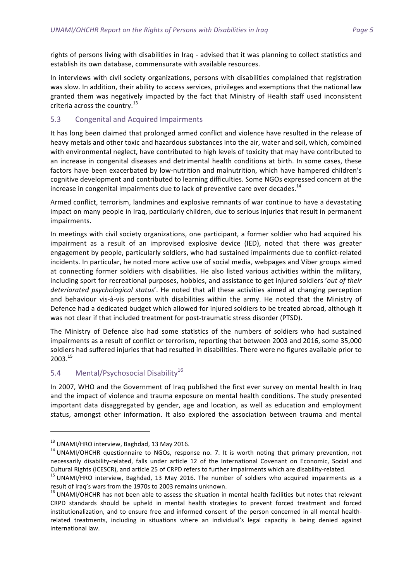rights of persons living with disabilities in Iraq - advised that it was planning to collect statistics and establish its own database, commensurate with available resources.

In interviews with civil society organizations, persons with disabilities complained that registration was slow. In addition, their ability to access services, privileges and exemptions that the national law granted them was negatively impacted by the fact that Ministry of Health staff used inconsistent criteria across the country.<sup>13</sup>

#### 5.3 Congenital and Acquired Impairments

It has long been claimed that prolonged armed conflict and violence have resulted in the release of heavy metals and other toxic and hazardous substances into the air, water and soil, which, combined with environmental neglect, have contributed to high levels of toxicity that may have contributed to an increase in congenital diseases and detrimental health conditions at birth. In some cases, these factors have been exacerbated by low-nutrition and malnutrition, which have hampered children's cognitive development and contributed to learning difficulties. Some NGOs expressed concern at the increase in congenital impairments due to lack of preventive care over decades.<sup>14</sup>

Armed conflict, terrorism, landmines and explosive remnants of war continue to have a devastating impact on many people in Iraq, particularly children, due to serious injuries that result in permanent impairments. 

In meetings with civil society organizations, one participant, a former soldier who had acquired his impairment as a result of an improvised explosive device (IED), noted that there was greater engagement by people, particularly soldiers, who had sustained impairments due to conflict-related incidents. In particular, he noted more active use of social media, webpages and Viber groups aimed at connecting former soldiers with disabilities. He also listed various activities within the military, including sport for recreational purposes, hobbies, and assistance to get injured soldiers 'out of their deteriorated psychological status'. He noted that all these activities aimed at changing perception and behaviour vis-à-vis persons with disabilities within the army. He noted that the Ministry of Defence had a dedicated budget which allowed for injured soldiers to be treated abroad, although it was not clear if that included treatment for post-traumatic stress disorder (PTSD).

The Ministry of Defence also had some statistics of the numbers of soldiers who had sustained impairments as a result of conflict or terrorism, reporting that between 2003 and 2016, some 35,000 soldiers had suffered injuries that had resulted in disabilities. There were no figures available prior to 2003. 15

#### 5.4 Mental/Psychosocial Disability<sup>16</sup>

In 2007, WHO and the Government of Iraq published the first ever survey on mental health in Iraq and the impact of violence and trauma exposure on mental health conditions. The study presented important data disaggregated by gender, age and location, as well as education and employment status, amongst other information. It also explored the association between trauma and mental

 

<sup>&</sup>lt;sup>13</sup> UNAMI/HRO interview, Baghdad, 13 May 2016.<br><sup>14</sup> UNAMI/OHCHR questionnaire to NGOs, response no. 7. It is worth noting that primary prevention, not necessarily disability-related, falls under article 12 of the International Covenant on Economic, Social and

Cultural Rights (ICESCR), and article 25 of CRPD refers to further impairments which are disability-related.<br><sup>15</sup> UNAMI/HRO interview, Baghdad, 13 May 2016. The number of soldiers who acquired impairments as a result of Iraq's wars from the 1970s to 2003 remains unknown.

 $16$  UNAMI/OHCHR has not been able to assess the situation in mental health facilities but notes that relevant CRPD standards should be upheld in mental health strategies to prevent forced treatment and forced institutionalization, and to ensure free and informed consent of the person concerned in all mental healthrelated treatments, including in situations where an individual's legal capacity is being denied against international law.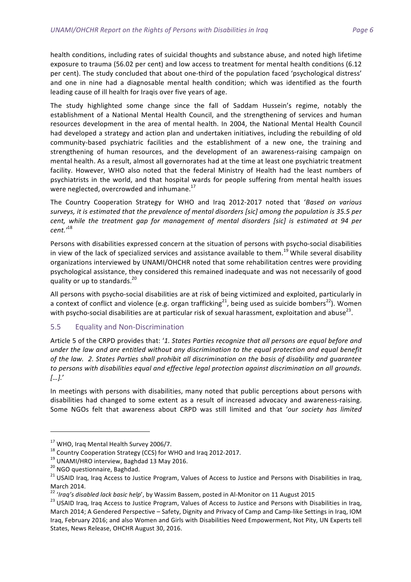health conditions, including rates of suicidal thoughts and substance abuse, and noted high lifetime exposure to trauma (56.02 per cent) and low access to treatment for mental health conditions (6.12 per cent). The study concluded that about one-third of the population faced 'psychological distress' and one in nine had a diagnosable mental health condition; which was identified as the fourth leading cause of ill health for Iraqis over five years of age.

The study highlighted some change since the fall of Saddam Hussein's regime, notably the establishment of a National Mental Health Council, and the strengthening of services and human resources development in the area of mental health. In 2004, the National Mental Health Council had developed a strategy and action plan and undertaken initiatives, including the rebuilding of old community-based psychiatric facilities and the establishment of a new one, the training and strengthening of human resources, and the development of an awareness-raising campaign on mental health. As a result, almost all governorates had at the time at least one psychiatric treatment facility. However, WHO also noted that the federal Ministry of Health had the least numbers of psychiatrists in the world, and that hospital wards for people suffering from mental health issues were neglected, overcrowded and inhumane. $^{17}$ 

The Country Cooperation Strategy for WHO and Iraq 2012-2017 noted that '*Based on various* surveys, it is estimated that the prevalence of mental disorders [sic] among the population is 35.5 per *cent,* while the treatment gap for management of mental disorders [sic] is estimated at 94 per *cent.'* 18

Persons with disabilities expressed concern at the situation of persons with psycho-social disabilities in view of the lack of specialized services and assistance available to them.<sup>19</sup> While several disability organizations interviewed by UNAMI/OHCHR noted that some rehabilitation centres were providing psychological assistance, they considered this remained inadequate and was not necessarily of good quality or up to standards.<sup>20</sup>

All persons with psycho-social disabilities are at risk of being victimized and exploited, particularly in a context of conflict and violence (e.g. organ trafficking<sup>21</sup>, being used as suicide bombers<sup>22</sup>). Women with psycho-social disabilities are at particular risk of sexual harassment, exploitation and abuse<sup>23</sup>.

#### 5.5 Equality and Non-Discrimination

Article 5 of the CRPD provides that: '1. States Parties recognize that all persons are equal before and under the law and are entitled without any discrimination to the equal protection and equal benefit of the law. 2. States Parties shall prohibit all discrimination on the basis of disability and guarantee to persons with disabilities equal and effective legal protection against discrimination on all grounds. *[…].*'

In meetings with persons with disabilities, many noted that public perceptions about persons with disabilities had changed to some extent as a result of increased advocacy and awareness-raising. Some NGOs felt that awareness about CRPD was still limited and that 'our society has limited

 

<sup>&</sup>lt;sup>17</sup> WHO, Iraq Mental Health Survey 2006/7.<br><sup>18</sup> Country Cooperation Strategy (CCS) for WHO and Iraq 2012-2017.<br><sup>19</sup> UNAMI/HRO interview, Baghdad 13 May 2016.<br><sup>20</sup> NGO questionnaire, Baghdad.<br><sup>21</sup> USAID Iraq, Iraq Access

March 2014.<br><sup>22</sup> 'Iraq's disabled lack basic help', by Wassim Bassem, posted in Al-Monitor on 11 August 2015<br><sup>23</sup> USAID Iraq, Iraq Access to Justice Program, Values of Access to Justice and Persons with Disabilities in Ira March 2014; A Gendered Perspective - Safety, Dignity and Privacy of Camp and Camp-like Settings in Iraq, IOM Iraq, February 2016; and also Women and Girls with Disabilities Need Empowerment, Not Pity, UN Experts tell States, News Release, OHCHR August 30, 2016.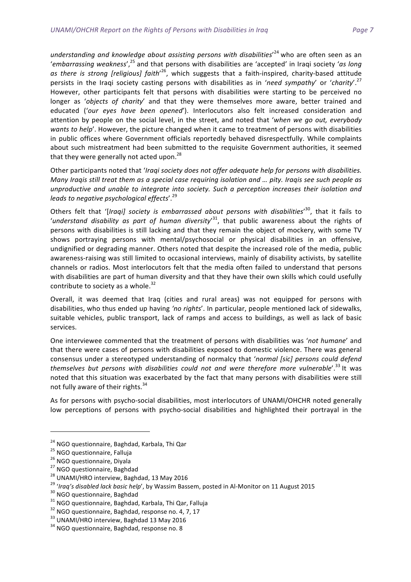understanding and knowledge about assisting persons with disabilities'<sup>24</sup> who are often seen as an 'embarrassing weakness',<sup>25</sup> and that persons with disabilities are 'accepted' in Iraqi society 'as long as there is strong [religious] faith<sup>'26</sup>, which suggests that a faith-inspired, charity-based attitude persists in the Iraqi society casting persons with disabilities as in 'need sympathy' or 'charity'.<sup>27</sup> However, other participants felt that persons with disabilities were starting to be perceived no longer as 'objects of charity' and that they were themselves more aware, better trained and educated ('our eyes have been opened'). Interlocutors also felt increased consideration and attention by people on the social level, in the street, and noted that 'when we go out, everybody wants to help'. However, the picture changed when it came to treatment of persons with disabilities in public offices where Government officials reportedly behaved disrespectfully. While complaints about such mistreatment had been submitted to the requisite Government authorities, it seemed that they were generally not acted upon.<sup>28</sup>

Other participants noted that '*Iraqi society does not offer adequate help for persons with disabilities. Many Iraqis still treat them as a special case requiring isolation and ... pity. Iraqis see such people as unproductive and unable to integrate into society. Such a perception increases their isolation and*  leads to negative psychological effects'.<sup>29</sup>

Others felt that '[*Iraqi]* society is embarrassed about persons with disabilities<sup>'30</sup>, that it fails to 'understand disability as part of human diversity'<sup>31</sup>, that public awareness about the rights of persons with disabilities is still lacking and that they remain the object of mockery, with some TV shows portraying persons with mental/psychosocial or physical disabilities in an offensive, undignified or degrading manner. Others noted that despite the increased role of the media, public awareness-raising was still limited to occasional interviews, mainly of disability activists, by satellite channels or radios. Most interlocutors felt that the media often failed to understand that persons with disabilities are part of human diversity and that they have their own skills which could usefully contribute to society as a whole. $32$ 

Overall, it was deemed that Iraq (cities and rural areas) was not equipped for persons with disabilities, who thus ended up having *'no rights'*. In particular, people mentioned lack of sidewalks, suitable vehicles, public transport, lack of ramps and access to buildings, as well as lack of basic services. 

One interviewee commented that the treatment of persons with disabilities was 'not humane' and that there were cases of persons with disabilities exposed to domestic violence. There was general consensus under a stereotyped understanding of normalcy that 'normal [sic] persons could defend themselves but persons with disabilities could not and were therefore more vulnerable'.<sup>33</sup> It was noted that this situation was exacerbated by the fact that many persons with disabilities were still not fully aware of their rights.<sup>34</sup>

As for persons with psycho-social disabilities, most interlocutors of UNAMI/OHCHR noted generally low perceptions of persons with psycho-social disabilities and highlighted their portrayal in the

 

<sup>&</sup>lt;sup>24</sup> NGO questionnaire, Baghdad, Karbala, Thi Qar<br><sup>25</sup> NGO questionnaire, Falluja<br><sup>26</sup> NGO questionnaire, Diyala<br><sup>27</sup> NGO questionnaire, Baghdad<br><sup>27</sup> NGO questionnaire, Baghdad<br><sup>28</sup> UNAMI/HRO interview, Baghdad, 13 May 20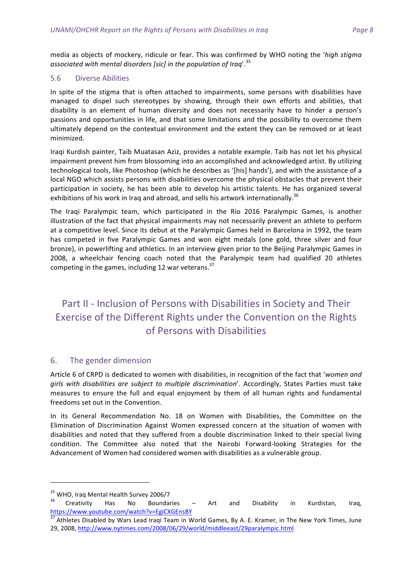media as objects of mockery, ridicule or fear. This was confirmed by WHO noting the 'high stigma associated with mental disorders [sic] in the population of Iraq<sup>'. 35</sup>

#### 5.6 Diverse Abilities

In spite of the stigma that is often attached to impairments, some persons with disabilities have managed to dispel such stereotypes by showing, through their own efforts and abilities, that disability is an element of human diversity and does not necessarily have to hinder a person's passions and opportunities in life, and that some limitations and the possibility to overcome them ultimately depend on the contextual environment and the extent they can be removed or at least minimized.

Iraqi Kurdish painter, Taib Muatasan Aziz, provides a notable example. Taib has not let his physical impairment prevent him from blossoming into an accomplished and acknowledged artist. By utilizing technological tools, like Photoshop (which he describes as '[his] hands'), and with the assistance of a local NGO which assists persons with disabilities overcome the physical obstacles that prevent their participation in society, he has been able to develop his artistic talents. He has organized several exhibitions of his work in Iraq and abroad, and sells his artwork internationally.<sup>36</sup>

The Iraqi Paralympic team, which participated in the Rio 2016 Paralympic Games, is another illustration of the fact that physical impairments may not necessarily prevent an athlete to perform at a competitive level. Since its debut at the Paralympic Games held in Barcelona in 1992, the team has competed in five Paralympic Games and won eight medals (one gold, three silver and four bronze), in powerlifting and athletics. In an interview given prior to the Beijing Paralympic Games in 2008, a wheelchair fencing coach noted that the Paralympic team had qualified 20 athletes competing in the games, including 12 war veterans.<sup>37</sup>

## Part II - Inclusion of Persons with Disabilities in Society and Their Exercise of the Different Rights under the Convention on the Rights of Persons with Disabilities

#### 6. The gender dimension

Article 6 of CRPD is dedicated to women with disabilities, in recognition of the fact that 'women and *girls* with *disabilities are subject to multiple discrimination'*. Accordingly, States Parties must take measures to ensure the full and equal enjoyment by them of all human rights and fundamental freedoms set out in the Convention.

In its General Recommendation No. 18 on Women with Disabilities, the Committee on the Elimination of Discrimination Against Women expressed concern at the situation of women with disabilities and noted that they suffered from a double discrimination linked to their special living condition. The Committee also noted that the Nairobi Forward-looking Strategies for the Advancement of Women had considered women with disabilities as a vulnerable group.

<sup>&</sup>lt;sup>35</sup> WHO, Iraq Mental Health Survey 2006/7<br><sup>36</sup> Creativity Has No Boundaries – Art and Disability in Kurdistan, Iraq, https://www.youtube.com/watch?v=EgiCXGEnsBY

Athletes Disabled by Wars Lead Iraqi Team in World Games, By A. E. Kramer, in The New York Times, June 29, 2008, http://www.nytimes.com/2008/06/29/world/middleeast/29paralympic.html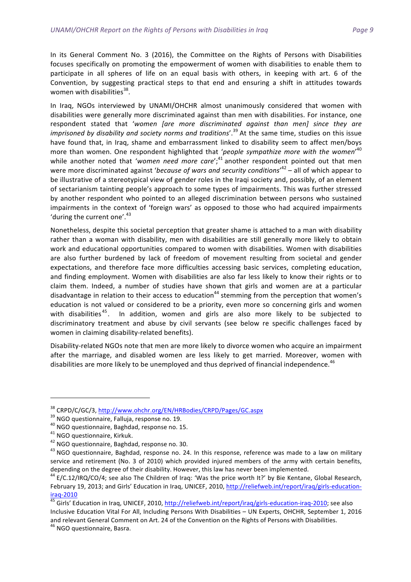In its General Comment No. 3 (2016), the Committee on the Rights of Persons with Disabilities focuses specifically on promoting the empowerment of women with disabilities to enable them to participate in all spheres of life on an equal basis with others, in keeping with art. 6 of the Convention, by suggesting practical steps to that end and ensuring a shift in attitudes towards women with disabilities $38$ .

In Iraq, NGOs interviewed by UNAMI/OHCHR almost unanimously considered that women with disabilities were generally more discriminated against than men with disabilities. For instance, one respondent stated that 'women *[are more discriminated against than men]* since they are *imprisoned by disability and society norms and traditions'*.<sup>39</sup> At the same time, studies on this issue have found that, in Iraq, shame and embarrassment linked to disability seem to affect men/boys more than women. One respondent highlighted that 'people sympathize more with the women'<sup>40</sup> while another noted that 'women need more care';<sup>41</sup> another respondent pointed out that men were more discriminated against '*because of wars and security conditions*'<sup>42</sup> – all of which appear to be illustrative of a stereotypical view of gender roles in the Iraqi society and, possibly, of an element of sectarianism tainting people's approach to some types of impairments. This was further stressed by another respondent who pointed to an alleged discrimination between persons who sustained impairments in the context of 'foreign wars' as opposed to those who had acquired impairments 'during the current one'.<sup>43</sup>

Nonetheless, despite this societal perception that greater shame is attached to a man with disability rather than a woman with disability, men with disabilities are still generally more likely to obtain work and educational opportunities compared to women with disabilities. Women with disabilities are also further burdened by lack of freedom of movement resulting from societal and gender expectations, and therefore face more difficulties accessing basic services, completing education, and finding employment. Women with disabilities are also far less likely to know their rights or to claim them. Indeed, a number of studies have shown that girls and women are at a particular disadvantage in relation to their access to education<sup>44</sup> stemming from the perception that women's education is not valued or considered to be a priority, even more so concerning girls and women with disabilities<sup>45</sup>. In addition, women and girls are also more likely to be subjected to discriminatory treatment and abuse by civil servants (see below re specific challenges faced by women in claiming disability-related benefits).

Disability-related NGOs note that men are more likely to divorce women who acquire an impairment after the marriage, and disabled women are less likely to get married. Moreover, women with disabilities are more likely to be unemployed and thus deprived of financial independence.<sup>46</sup>

<sup>&</sup>lt;sup>38</sup> CRPD/C/GC/3, <u>http://www.ohchr.org/EN/HRBodies/CRPD/Pages/GC.aspx</u><br><sup>39</sup> NGO questionnaire, Falluja, response no. 19.<br><sup>40</sup> NGO questionnaire, Baghdad, response no. 15.<br><sup>42</sup> NGO questionnaire, Baghdad, response no. 30. service and retirement (No. 3 of 2010) which provided injured members of the army with certain benefits, depending on the degree of their disability. However, this law has never been implemented.

 $44$  E/C.12/IRQ/CO/4; see also The Children of Iraq: 'Was the price worth It?' by Bie Kentane, Global Research, February 19, 2013; and Girls' Education in Iraq, UNICEF, 2010, http://reliefweb.int/report/iraq/girls-education-

iraq-2010<br><sup>45</sup> Girls' Education in Iraq, UNICEF, 2010, <u>http://reliefweb.int/report/iraq/girls-education-iraq-2010</u>; see also Inclusive Education Vital For All, Including Persons With Disabilities - UN Experts, OHCHR, September 1, 2016 and relevant General Comment on Art. 24 of the Convention on the Rights of Persons with Disabilities.<br><sup>46</sup> NGO questionnaire, Basra.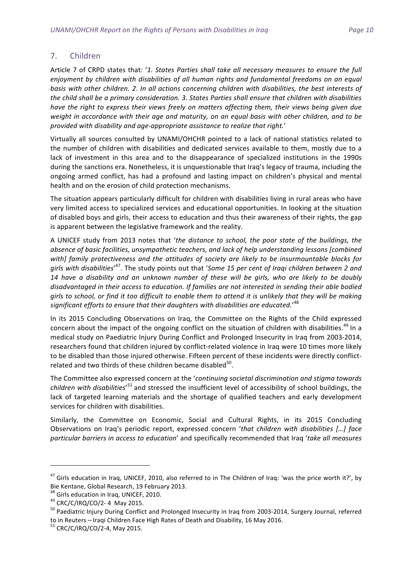#### 7. Children

Article 7 of CRPD states that: '1. States Parties shall take all necessary measures to ensure the full *enjoyment* by children with disabilities of all human rights and fundamental freedoms on an equal basis with other children. 2. In all actions concerning children with disabilities, the best interests of the child shall be a primary consideration. 3. States Parties shall ensure that children with disabilities *have* the right to express their views freely on matters affecting them, their views being given due weight in accordance with their age and maturity, on an equal basis with other children, and to be *provided with disability and age-appropriate assistance to realize that right.*'

Virtually all sources consulted by UNAMI/OHCHR pointed to a lack of national statistics related to the number of children with disabilities and dedicated services available to them, mostly due to a lack of investment in this area and to the disappearance of specialized institutions in the 1990s during the sanctions era. Nonetheless, it is unquestionable that Iraq's legacy of trauma, including the ongoing armed conflict, has had a profound and lasting impact on children's physical and mental health and on the erosion of child protection mechanisms.

The situation appears particularly difficult for children with disabilities living in rural areas who have very limited access to specialized services and educational opportunities. In looking at the situation of disabled boys and girls, their access to education and thus their awareness of their rights, the gap is apparent between the legislative framework and the reality.

A UNICEF study from 2013 notes that 'the distance to school, the poor state of the buildings, the absence of basic facilities, unsympathetic teachers, and lack of help understanding lessons [combined with] family protectiveness and the attitudes of society are likely to be insurmountable blocks for girls with disabilities'<sup>47</sup>. The study points out that 'Some 15 per cent of Iraqi children between 2 and 14 have a disability and an unknown number of these will be girls, who are likely to be doubly disadvantaged in their access to education. If families are not interested in sending their able bodied girls to school, or find it too difficult to enable them to attend it is unlikely that they will be making significant efforts to ensure that their daughters with disabilities are educated.'<sup>48</sup>

In its 2015 Concluding Observations on Iraq, the Committee on the Rights of the Child expressed concern about the impact of the ongoing conflict on the situation of children with disabilities.<sup>49</sup> In a medical study on Paediatric Injury During Conflict and Prolonged Insecurity in Iraq from 2003-2014, researchers found that children injured by conflict-related violence in Iraq were 10 times more likely to be disabled than those injured otherwise. Fifteen percent of these incidents were directly conflictrelated and two thirds of these children became disabled<sup>50</sup>.

The Committee also expressed concern at the 'continuing societal discrimination and stigma towards children with disabilities'<sup>51</sup> and stressed the insufficient level of accessibility of school buildings, the lack of targeted learning materials and the shortage of qualified teachers and early development services for children with disabilities.

Similarly, the Committee on Economic, Social and Cultural Rights, in its 2015 Concluding Observations on Iraq's periodic report, expressed concern 'that children with disabilities [...] face *particular barriers in access to education'* and specifically recommended that Iraq 'take all measures

<u> 1989 - Johann Barn, mars eta bainar eta industrial eta baina eta baina eta baina eta baina eta baina eta bain</u>

 $47$  Girls education in Iraq, UNICEF, 2010, also referred to in The Children of Iraq: 'was the price worth it?', by Bie Kentane, Global Research, 19 February 2013.<br><sup>48</sup> Girls education in Iraq, UNICEF, 2010.

<sup>&</sup>lt;sup>49</sup> CRC/C/IRQ/CO/2- 4 May 2015.<br><sup>50</sup> Paediatric Injury During Conflict and Prolonged Insecurity in Iraq from 2003-2014, Surgery Journal, referred to in Reuters – Iraqi Children Face High Rates of Death and Disability, 16 May 2016.<br>
<sup>51</sup> CRC/C/IRQ/CO/2-4, May 2015.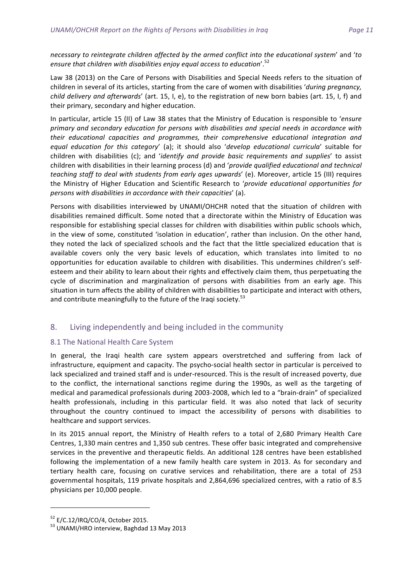*necessary* to reintegrate children affected by the armed conflict into the educational system' and 'to ensure that children with disabilities enjoy equal access to education'. $^{\mathrm{52}}$ 

Law 38 (2013) on the Care of Persons with Disabilities and Special Needs refers to the situation of children in several of its articles, starting from the care of women with disabilities '*during pregnancy*, *child delivery and afterwards'* (art. 15, I, e), to the registration of new born babies (art. 15, I, f) and their primary, secondary and higher education.

In particular, article 15 (II) of Law 38 states that the Ministry of Education is responsible to '*ensure* primary and secondary education for persons with disabilities and special needs in accordance with *their* educational capacities and programmes, their comprehensive educational integration and *equal education for this category'* (a); it should also '*develop educational curricula'* suitable for children with disabilities (c); and '*identify and provide basic requirements and supplies'* to assist children with disabilities in their learning process (d) and '*provide qualified educational and technical teaching staff to deal with students from early ages upwards'* (e). Moreover, article 15 (III) requires the Ministry of Higher Education and Scientific Research to '*provide educational opportunities for persons* with disabilities in accordance with their capacities' (a).

Persons with disabilities interviewed by UNAMI/OHCHR noted that the situation of children with disabilities remained difficult. Some noted that a directorate within the Ministry of Education was responsible for establishing special classes for children with disabilities within public schools which, in the view of some, constituted 'isolation in education', rather than inclusion. On the other hand, they noted the lack of specialized schools and the fact that the little specialized education that is available covers only the very basic levels of education, which translates into limited to no opportunities for education available to children with disabilities. This undermines children's selfesteem and their ability to learn about their rights and effectively claim them, thus perpetuating the cycle of discrimination and marginalization of persons with disabilities from an early age. This situation in turn affects the ability of children with disabilities to participate and interact with others, and contribute meaningfully to the future of the Iraqi society.<sup>53</sup>

#### 8. Living independently and being included in the community

#### 8.1 The National Health Care System

In general, the Iraqi health care system appears overstretched and suffering from lack of infrastructure, equipment and capacity. The psycho-social health sector in particular is perceived to lack specialized and trained staff and is under-resourced. This is the result of increased poverty, due to the conflict, the international sanctions regime during the 1990s, as well as the targeting of medical and paramedical professionals during 2003-2008, which led to a "brain-drain" of specialized health professionals, including in this particular field. It was also noted that lack of security throughout the country continued to impact the accessibility of persons with disabilities to healthcare and support services.

In its 2015 annual report, the Ministry of Health refers to a total of 2,680 Primary Health Care Centres, 1,330 main centres and 1,350 sub centres. These offer basic integrated and comprehensive services in the preventive and therapeutic fields. An additional 128 centres have been established following the implementation of a new family health care system in 2013. As for secondary and tertiary health care, focusing on curative services and rehabilitation, there are a total of 253 governmental hospitals, 119 private hospitals and 2,864,696 specialized centres, with a ratio of 8.5 physicians per 10,000 people.

<sup>&</sup>lt;u> 1989 - Johann Barn, mars ann an t-Amhain an t-Amhain an t-Amhain an t-Amhain an t-Amhain an t-Amhain an t-Amh</u>

 $52$  E/C.12/IRQ/CO/4, October 2015.<br> $53$  UNAMI/HRO interview, Baghdad 13 May 2013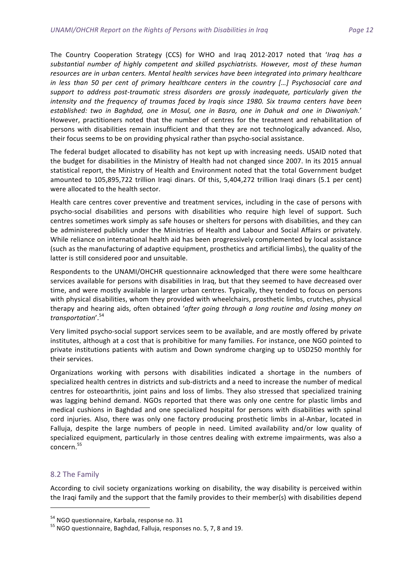The Country Cooperation Strategy (CCS) for WHO and Iraq 2012-2017 noted that '*Iraq has a* substantial number of highly competent and skilled psychiatrists. However, most of these human resources are in urban centers. Mental health services have been integrated into primary healthcare *in* less than 50 per cent of primary healthcare centers in the country [...] Psychosocial care and support to address post-traumatic stress disorders are grossly inadequate, particularly given the intensity and the frequency of traumas faced by Iraqis since 1980. Six trauma centers have been established: two in Baghdad, one in Mosul, one in Basra, one in Dahuk and one in Diwaniyah.' However, practitioners noted that the number of centres for the treatment and rehabilitation of persons with disabilities remain insufficient and that they are not technologically advanced. Also, their focus seems to be on providing physical rather than psycho-social assistance.

The federal budget allocated to disability has not kept up with increasing needs. USAID noted that the budget for disabilities in the Ministry of Health had not changed since 2007. In its 2015 annual statistical report, the Ministry of Health and Environment noted that the total Government budget amounted to 105,895,722 trillion Iraqi dinars. Of this, 5,404,272 trillion Iraqi dinars (5.1 per cent) were allocated to the health sector.

Health care centres cover preventive and treatment services, including in the case of persons with psycho-social disabilities and persons with disabilities who require high level of support. Such centres sometimes work simply as safe houses or shelters for persons with disabilities, and they can be administered publicly under the Ministries of Health and Labour and Social Affairs or privately. While reliance on international health aid has been progressively complemented by local assistance (such as the manufacturing of adaptive equipment, prosthetics and artificial limbs), the quality of the latter is still considered poor and unsuitable.

Respondents to the UNAMI/OHCHR questionnaire acknowledged that there were some healthcare services available for persons with disabilities in Iraq, but that they seemed to have decreased over time, and were mostly available in larger urban centres. Typically, they tended to focus on persons with physical disabilities, whom they provided with wheelchairs, prosthetic limbs, crutches, physical therapy and hearing aids, often obtained 'after going through a long routine and losing money on *transportation*'. 54

Very limited psycho-social support services seem to be available, and are mostly offered by private institutes, although at a cost that is prohibitive for many families. For instance, one NGO pointed to private institutions patients with autism and Down syndrome charging up to USD250 monthly for their services.

Organizations working with persons with disabilities indicated a shortage in the numbers of specialized health centres in districts and sub-districts and a need to increase the number of medical centres for osteoarthritis, joint pains and loss of limbs. They also stressed that specialized training was lagging behind demand. NGOs reported that there was only one centre for plastic limbs and medical cushions in Baghdad and one specialized hospital for persons with disabilities with spinal cord injuries. Also, there was only one factory producing prosthetic limbs in al-Anbar, located in Falluja, despite the large numbers of people in need. Limited availability and/or low quality of specialized equipment, particularly in those centres dealing with extreme impairments, was also a concern. 55

#### 8.2 The Family

According to civil society organizations working on disability, the way disability is perceived within the Iraqi family and the support that the family provides to their member(s) with disabilities depend

 $54$  NGO questionnaire, Karbala, response no. 31<br> $55$  NGO questionnaire, Baghdad, Falluja, responses no. 5, 7, 8 and 19.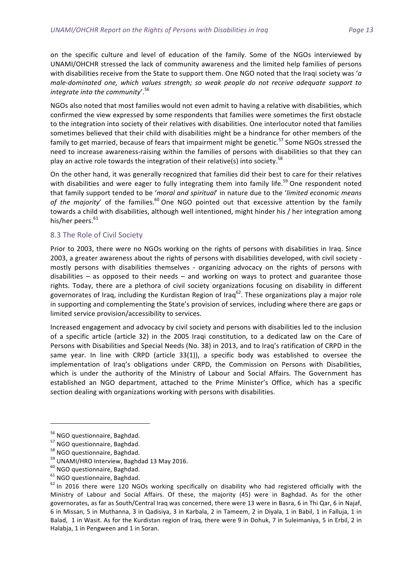on the specific culture and level of education of the family. Some of the NGOs interviewed by UNAMI/OHCHR stressed the lack of community awareness and the limited help families of persons with disabilities receive from the State to support them. One NGO noted that the Iraqi society was '*a* male-dominated one, which values strength; so weak people do not receive adequate support to *integrate into the community*'. 56

NGOs also noted that most families would not even admit to having a relative with disabilities, which confirmed the view expressed by some respondents that families were sometimes the first obstacle to the integration into society of their relatives with disabilities. One interlocutor noted that families sometimes believed that their child with disabilities might be a hindrance for other members of the family to get married, because of fears that impairment might be genetic.<sup>57</sup> Some NGOs stressed the need to increase awareness-raising within the families of persons with disabilities so that they can play an active role towards the integration of their relative(s) into society.<sup>58</sup>

On the other hand, it was generally recognized that families did their best to care for their relatives with disabilities and were eager to fully integrating them into family life.<sup>59</sup> One respondent noted that family support tended to be 'moral and spiritual' in nature due to the 'limited economic means of the majority' of the families.<sup>60</sup> One NGO pointed out that excessive attention by the family towards a child with disabilities, although well intentioned, might hinder his / her integration among his/her peers.<sup>61</sup>

#### 8.3 The Role of Civil Society

Prior to 2003, there were no NGOs working on the rights of persons with disabilities in Iraq. Since 2003, a greater awareness about the rights of persons with disabilities developed, with civil society mostly persons with disabilities themselves - organizing advocacy on the rights of persons with disabilities – as opposed to their needs – and working on ways to protect and guarantee those rights. Today, there are a plethora of civil society organizations focusing on disability in different governorates of Iraq, including the Kurdistan Region of Iraq<sup>62</sup>. These organizations play a major role in supporting and complementing the State's provision of services, including where there are gaps or limited service provision/accessibility to services.

Increased engagement and advocacy by civil society and persons with disabilities led to the inclusion of a specific article (article 32) in the 2005 Iraqi constitution, to a dedicated law on the Care of Persons with Disabilities and Special Needs (No. 38) in 2013, and to Iraq's ratification of CRPD in the same year. In line with CRPD (article 33(1)), a specific body was established to oversee the implementation of Iraq's obligations under CRPD, the Commission on Persons with Disabilities, which is under the authority of the Ministry of Labour and Social Affairs. The Government has established an NGO department, attached to the Prime Minister's Office, which has a specific section dealing with organizations working with persons with disabilities.

<sup>&</sup>lt;sup>56</sup> NGO questionnaire, Baghdad.<br><sup>57</sup> NGO questionnaire, Baghdad.<br><sup>58</sup> NGO questionnaire, Baghdad.<br><sup>59</sup> UNAMI/HRO Interview, Baghdad 13 May 2016.<br><sup>60</sup> NGO questionnaire, Baghdad.<br><sup>61</sup> NGO questionnaire, Baghdad.<br><sup>62</sup> In 2 Ministry of Labour and Social Affairs. Of these, the majority (45) were in Baghdad. As for the other governorates, as far as South/Central Iraq was concerned, there were 13 were in Basra, 6 in Thi Qar, 6 in Najaf, 6 in Missan, 5 in Muthanna, 3 in Qadisiya, 3 in Karbala, 2 in Tameem, 2 in Diyala, 1 in Babil, 1 in Falluja, 1 in Balad, 1 in Wasit. As for the Kurdistan region of Iraq, there were 9 in Dohuk, 7 in Suleimaniya, 5 in Erbil, 2 in Halabja, 1 in Pengween and 1 in Soran.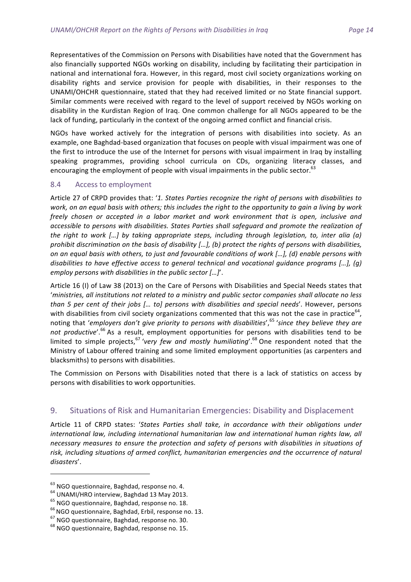Representatives of the Commission on Persons with Disabilities have noted that the Government has also financially supported NGOs working on disability, including by facilitating their participation in national and international fora. However, in this regard, most civil society organizations working on disability rights and service provision for people with disabilities, in their responses to the UNAMI/OHCHR questionnaire, stated that they had received limited or no State financial support. Similar comments were received with regard to the level of support received by NGOs working on disability in the Kurdistan Region of Iraq. One common challenge for all NGOs appeared to be the lack of funding, particularly in the context of the ongoing armed conflict and financial crisis.

NGOs have worked actively for the integration of persons with disabilities into society. As an example, one Baghdad-based organization that focuses on people with visual impairment was one of the first to introduce the use of the Internet for persons with visual impairment in Iraq by installing speaking programmes, providing school curricula on CDs, organizing literacy classes, and encouraging the employment of people with visual impairments in the public sector.<sup>63</sup>

#### 8.4 Access to employment

Article 27 of CRPD provides that: '1. States Parties recognize the right of persons with disabilities to work, on an equal basis with others; this includes the right to the opportunity to gain a living by work *freely* chosen or accepted in a labor market and work environment that is open, inclusive and accessible to persons with disabilities. States Parties shall safeguard and promote the realization of *the right to work […] by taking appropriate steps, including through legislation, to, inter alia (a) prohibit discrimination on the basis of disability* [...], (b) protect the rights of persons with disabilities, on an equal basis with others, to just and favourable conditions of work […], (d) enable persons with *disabilities to have effective access to general technical and vocational guidance programs [...], (g) employ persons with disabilities in the public sector [...]'*.

Article 16 (I) of Law 38 (2013) on the Care of Persons with Disabilities and Special Needs states that 'ministries, all institutions not related to a ministry and public sector companies shall allocate no less *than* 5 per cent of their jobs [... to] persons with disabilities and special needs'. However, persons with disabilities from civil society organizations commented that this was not the case in practice<sup>64</sup>, noting that 'employers don't give priority to persons with disabilities', <sup>65</sup> 'since they believe they are not productive'.<sup>66</sup> As a result, employment opportunities for persons with disabilities tend to be limited to simple projects,<sup>67</sup> 'very few and mostly humiliating'.<sup>68</sup> One respondent noted that the Ministry of Labour offered training and some limited employment opportunities (as carpenters and blacksmiths) to persons with disabilities.

The Commission on Persons with Disabilities noted that there is a lack of statistics on access by persons with disabilities to work opportunities.

#### 9. Situations of Risk and Humanitarian Emergencies: Disability and Displacement

Article 11 of CRPD states: 'States Parties shall take, in accordance with their obligations under international law, including international humanitarian law and international human rights law, all necessary measures to ensure the protection and safety of persons with disabilities in situations of risk, including situations of armed conflict, humanitarian emergencies and the occurrence of natural *disasters*'. 

<sup>&</sup>lt;sup>63</sup> NGO questionnaire, Baghdad, response no. 4.<br><sup>64</sup> UNAMI/HRO interview, Baghdad 13 May 2013.<br><sup>65</sup> NGO questionnaire, Baghdad, response no. 18.<br><sup>66</sup> NGO questionnaire, Baghdad, Erbil, response no. 13.<br><sup>67</sup> NGO questionn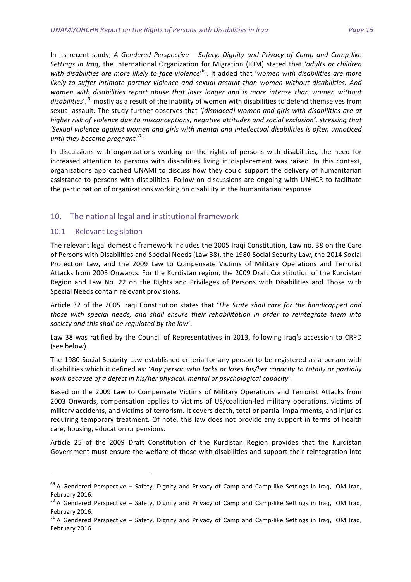In its recent study, *A Gendered Perspective - Safety, Dignity and Privacy of Camp and Camp-like Settings in Iraq,* the International Organization for Migration (IOM) stated that '*adults or children* with disabilities are more likely to face violence'<sup>69</sup>. It added that 'women with disabilities are more *likely to suffer intimate partner violence and sexual assault than women without disabilities. And* women with disabilities report abuse that lasts longer and is more intense than women without disabilities',<sup>70</sup> mostly as a result of the inability of women with disabilities to defend themselves from sexual assault. The study further observes that '[displaced] women and girls with disabilities are at higher risk of violence due to misconceptions, negative attitudes and social exclusion', stressing that 'Sexual violence against women and girls with mental and intellectual disabilities is often unnoticed until they become pregnant.'<sup>71</sup>

In discussions with organizations working on the rights of persons with disabilities, the need for increased attention to persons with disabilities living in displacement was raised. In this context, organizations approached UNAMI to discuss how they could support the delivery of humanitarian assistance to persons with disabilities. Follow on discussions are ongoing with UNHCR to facilitate the participation of organizations working on disability in the humanitarian response.

#### 10. The national legal and institutional framework

#### 10.1 Relevant Legislation

<u> 1989 - Johann Barn, mars ann an t-Amhain an t-Amhain an t-Amhain an t-Amhain an t-Amhain an t-Amhain an t-Amh</u>

The relevant legal domestic framework includes the 2005 Iraqi Constitution, Law no. 38 on the Care of Persons with Disabilities and Special Needs (Law 38), the 1980 Social Security Law, the 2014 Social Protection Law, and the 2009 Law to Compensate Victims of Military Operations and Terrorist Attacks from 2003 Onwards. For the Kurdistan region, the 2009 Draft Constitution of the Kurdistan Region and Law No. 22 on the Rights and Privileges of Persons with Disabilities and Those with Special Needs contain relevant provisions.

Article 32 of the 2005 Iraqi Constitution states that 'The State shall care for the handicapped and *those* with special needs, and shall ensure their rehabilitation in order to reintegrate them into *society and this shall be regulated by the law*'. 

Law 38 was ratified by the Council of Representatives in 2013, following Iraq's accession to CRPD (see below). 

The 1980 Social Security Law established criteria for any person to be registered as a person with disabilities which it defined as: '*Any person who lacks or loses his/her capacity to totally or partially work because of a defect in his/her physical, mental or psychological capacity*'.

Based on the 2009 Law to Compensate Victims of Military Operations and Terrorist Attacks from 2003 Onwards, compensation applies to victims of US/coalition-led military operations, victims of military accidents, and victims of terrorism. It covers death, total or partial impairments, and injuries requiring temporary treatment. Of note, this law does not provide any support in terms of health care, housing, education or pensions.

Article 25 of the 2009 Draft Constitution of the Kurdistan Region provides that the Kurdistan Government must ensure the welfare of those with disabilities and support their reintegration into

 $69$  A Gendered Perspective – Safety, Dignity and Privacy of Camp and Camp-like Settings in Iraq, IOM Iraq, February 2016.

 $^{70}$  A Gendered Perspective – Safety, Dignity and Privacy of Camp and Camp-like Settings in Iraq, IOM Iraq,

February 2016.<br><sup>71</sup> A Gendered Perspective – Safety, Dignity and Privacy of Camp and Camp-like Settings in Iraq, IOM Iraq, February 2016.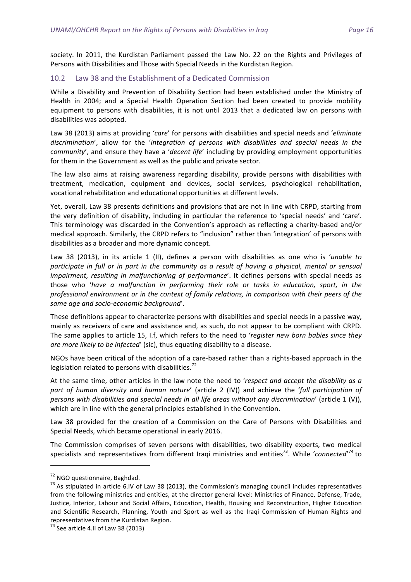society. In 2011, the Kurdistan Parliament passed the Law No. 22 on the Rights and Privileges of Persons with Disabilities and Those with Special Needs in the Kurdistan Region.

#### 10.2 Law 38 and the Establishment of a Dedicated Commission

While a Disability and Prevention of Disability Section had been established under the Ministry of Health in 2004; and a Special Health Operation Section had been created to provide mobility equipment to persons with disabilities, it is not until 2013 that a dedicated law on persons with disabilities was adopted.

Law 38 (2013) aims at providing '*care'* for persons with disabilities and special needs and '*eliminate* discrimination', allow for the 'integration of persons with disabilities and special needs in the *community'*, and ensure they have a '*decent life'* including by providing employment opportunities for them in the Government as well as the public and private sector.

The law also aims at raising awareness regarding disability, provide persons with disabilities with treatment, medication, equipment and devices, social services, psychological rehabilitation, vocational rehabilitation and educational opportunities at different levels.

Yet, overall, Law 38 presents definitions and provisions that are not in line with CRPD, starting from the very definition of disability, including in particular the reference to 'special needs' and 'care'. This terminology was discarded in the Convention's approach as reflecting a charity-based and/or medical approach. Similarly, the CRPD refers to "inclusion" rather than 'integration' of persons with disabilities as a broader and more dynamic concept.

Law 38 (2013), in its article 1 (II), defines a person with disabilities as one who is 'unable to *participate in full or in part in the community as a result of having a physical, mental or sensual impairment, resulting in malfunctioning of performance'*. It defines persons with special needs as those who 'have a malfunction in performing their role or tasks in education, sport, in the professional environment or in the context of family relations, in comparison with their peers of the same age and socio-economic background'.

These definitions appear to characterize persons with disabilities and special needs in a passive way, mainly as receivers of care and assistance and, as such, do not appear to be compliant with CRPD. The same applies to article 15, I.f, which refers to the need to 'register new born babies since they *are more likely to be infected'* (sic), thus equating disability to a disease.

NGOs have been critical of the adoption of a care-based rather than a rights-based approach in the legislation related to persons with disabilities.<sup>72</sup>

At the same time, other articles in the law note the need to 'respect and accept the disability as a part of human diversity and human nature' (article 2 (IV)) and achieve the 'full participation of *persons with disabilities and special needs in all life areas without any discrimination*' (article 1 (V)), which are in line with the general principles established in the Convention.

Law 38 provided for the creation of a Commission on the Care of Persons with Disabilities and Special Needs, which became operational in early 2016.

The Commission comprises of seven persons with disabilities, two disability experts, two medical specialists and representatives from different Iraqi ministries and entities<sup>73</sup>. While 'connected'<sup>74</sup> to

<u> 1989 - Johann Stein, mars an de Brandenburg (b. 1989)</u>

<sup>&</sup>lt;sup>72</sup> NGO questionnaire, Baghdad.<br><sup>73</sup> As stipulated in article 6.IV of Law 38 (2013), the Commission's managing council includes representatives from the following ministries and entities, at the director general level: Ministries of Finance, Defense, Trade, Justice, Interior, Labour and Social Affairs, Education, Health, Housing and Reconstruction, Higher Education and Scientific Research, Planning, Youth and Sport as well as the Iraqi Commission of Human Rights and representatives from the Kurdistan Region.

 $74$  See article 4.II of Law 38 (2013)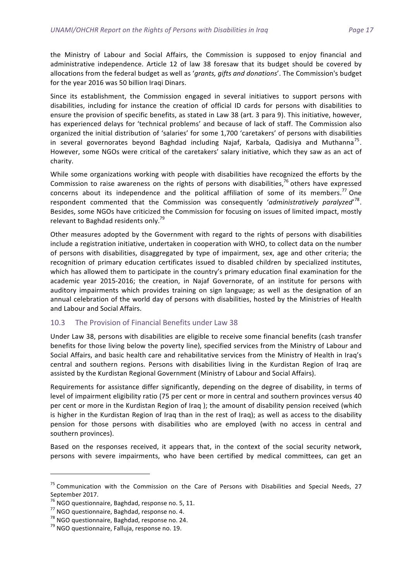the Ministry of Labour and Social Affairs, the Commission is supposed to enjoy financial and administrative independence. Article 12 of law 38 foresaw that its budget should be covered by allocations from the federal budget as well as *'grants, gifts and donations'*. The Commission's budget for the year 2016 was 50 billion Iraqi Dinars.

Since its establishment, the Commission engaged in several initiatives to support persons with disabilities, including for instance the creation of official ID cards for persons with disabilities to ensure the provision of specific benefits, as stated in Law 38 (art. 3 para 9). This initiative, however, has experienced delays for 'technical problems' and because of lack of staff. The Commission also organized the initial distribution of 'salaries' for some 1,700 'caretakers' of persons with disabilities in several governorates beyond Baghdad including Najaf, Karbala, Qadisiya and Muthanna<sup>75</sup>. However, some NGOs were critical of the caretakers' salary initiative, which they saw as an act of charity.

While some organizations working with people with disabilities have recognized the efforts by the Commission to raise awareness on the rights of persons with disabilities,<sup>76</sup> others have expressed concerns about its independence and the political affiliation of some of its members.<sup>77</sup> One respondent commented that the Commission was consequently 'administratively paralyzed'<sup>78</sup>. Besides, some NGOs have criticized the Commission for focusing on issues of limited impact, mostly relevant to Baghdad residents only.<sup>79</sup>

Other measures adopted by the Government with regard to the rights of persons with disabilities include a registration initiative, undertaken in cooperation with WHO, to collect data on the number of persons with disabilities, disaggregated by type of impairment, sex, age and other criteria; the recognition of primary education certificates issued to disabled children by specialized institutes, which has allowed them to participate in the country's primary education final examination for the academic year 2015-2016; the creation, in Najaf Governorate, of an institute for persons with auditory impairments which provides training on sign language; as well as the designation of an annual celebration of the world day of persons with disabilities, hosted by the Ministries of Health and Labour and Social Affairs.

#### 10.3 The Provision of Financial Benefits under Law 38

Under Law 38, persons with disabilities are eligible to receive some financial benefits (cash transfer benefits for those living below the poverty line), specified services from the Ministry of Labour and Social Affairs, and basic health care and rehabilitative services from the Ministry of Health in Iraq's central and southern regions. Persons with disabilities living in the Kurdistan Region of Iraq are assisted by the Kurdistan Regional Government (Ministry of Labour and Social Affairs).

Requirements for assistance differ significantly, depending on the degree of disability, in terms of level of impairment eligibility ratio (75 per cent or more in central and southern provinces versus 40 per cent or more in the Kurdistan Region of Iraq ); the amount of disability pension received (which is higher in the Kurdistan Region of Iraq than in the rest of Iraq); as well as access to the disability pension for those persons with disabilities who are employed (with no access in central and southern provinces).

Based on the responses received, it appears that, in the context of the social security network, persons with severe impairments, who have been certified by medical committees, can get an

 $75$  Communication with the Commission on the Care of Persons with Disabilities and Special Needs, 27 September 2017.<br><sup>76</sup> NGO questionnaire, Baghdad, response no. 5, 11.

<sup>&</sup>lt;sup>77</sup> NGO questionnaire, Baghdad, response no. 4.<br><sup>78</sup> NGO questionnaire, Baghdad, response no. 24.<br><sup>79</sup> NGO questionnaire, Falluja, response no. 19.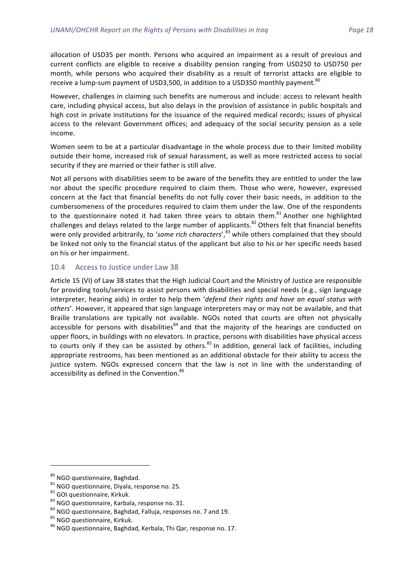allocation of USD35 per month. Persons who acquired an impairment as a result of previous and current conflicts are eligible to receive a disability pension ranging from USD250 to USD750 per month, while persons who acquired their disability as a result of terrorist attacks are eligible to receive a lump-sum payment of USD3,500, in addition to a USD350 monthly payment. $^{80}$ 

However, challenges in claiming such benefits are numerous and include: access to relevant health care, including physical access, but also delays in the provision of assistance in public hospitals and high cost in private institutions for the issuance of the required medical records; issues of physical access to the relevant Government offices; and adequacy of the social security pension as a sole income. 

Women seem to be at a particular disadvantage in the whole process due to their limited mobility outside their home, increased risk of sexual harassment, as well as more restricted access to social security if they are married or their father is still alive.

Not all persons with disabilities seem to be aware of the benefits they are entitled to under the law nor about the specific procedure required to claim them. Those who were, however, expressed concern at the fact that financial benefits do not fully cover their basic needs, in addition to the cumbersomeness of the procedures required to claim them under the law. One of the respondents to the questionnaire noted it had taken three years to obtain them.<sup>81</sup> Another one highlighted challenges and delays related to the large number of applicants.<sup>82</sup> Others felt that financial benefits were only provided arbitrarily, to 'some rich characters',<sup>83</sup> while others complained that they should be linked not only to the financial status of the applicant but also to his or her specific needs based on his or her impairment.

#### 10.4 Access to Justice under Law 38

Article 15 (VI) of Law 38 states that the High Judicial Court and the Ministry of Justice are responsible for providing tools/services to assist persons with disabilities and special needs (e.g., sign language interpreter, hearing aids) in order to help them 'defend their rights and have an equal status with others'. However, it appeared that sign language interpreters may or may not be available, and that Braille translations are typically not available. NGOs noted that courts are often not physically accessible for persons with disabilities<sup>84</sup> and that the majority of the hearings are conducted on upper floors, in buildings with no elevators. In practice, persons with disabilities have physical access to courts only if they can be assisted by others.<sup>85</sup> In addition, general lack of facilities, including appropriate restrooms, has been mentioned as an additional obstacle for their ability to access the justice system. NGOs expressed concern that the law is not in line with the understanding of accessibility as defined in the Convention.<sup>86</sup>

<u> 1989 - Johann Stein, mars an de Brandenburg (b. 1989)</u>

<sup>&</sup>lt;sup>80</sup> NGO questionnaire, Baghdad.<br><sup>81</sup> NGO questionnaire, Diyala, response no. 25.<br><sup>82</sup> GOI questionnaire, Kirkuk.<br><sup>83</sup> NGO questionnaire, Karbala, response no. 31.<br><sup>84</sup> NGO questionnaire, Baghdad, Falluja, responses no. 7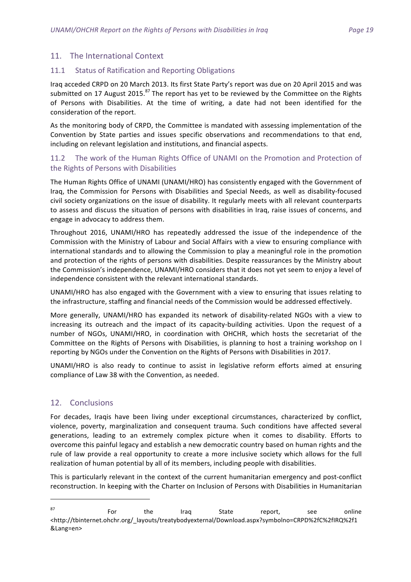#### 11. The International Context

#### 11.1 Status of Ratification and Reporting Obligations

Iraq acceded CRPD on 20 March 2013. Its first State Party's report was due on 20 April 2015 and was submitted on 17 August 2015.<sup>87</sup> The report has yet to be reviewed by the Committee on the Rights of Persons with Disabilities. At the time of writing, a date had not been identified for the consideration of the report.

As the monitoring body of CRPD, the Committee is mandated with assessing implementation of the Convention by State parties and issues specific observations and recommendations to that end, including on relevant legislation and institutions, and financial aspects.

#### 11.2 The work of the Human Rights Office of UNAMI on the Promotion and Protection of the Rights of Persons with Disabilities

The Human Rights Office of UNAMI (UNAMI/HRO) has consistently engaged with the Government of Iraq, the Commission for Persons with Disabilities and Special Needs, as well as disability-focused civil society organizations on the issue of disability. It regularly meets with all relevant counterparts to assess and discuss the situation of persons with disabilities in Iraq, raise issues of concerns, and engage in advocacy to address them.

Throughout 2016, UNAMI/HRO has repeatedly addressed the issue of the independence of the Commission with the Ministry of Labour and Social Affairs with a view to ensuring compliance with international standards and to allowing the Commission to play a meaningful role in the promotion and protection of the rights of persons with disabilities. Despite reassurances by the Ministry about the Commission's independence, UNAMI/HRO considers that it does not yet seem to enjoy a level of independence consistent with the relevant international standards.

UNAMI/HRO has also engaged with the Government with a view to ensuring that issues relating to the infrastructure, staffing and financial needs of the Commission would be addressed effectively.

More generally, UNAMI/HRO has expanded its network of disability-related NGOs with a view to increasing its outreach and the impact of its capacity-building activities. Upon the request of a number of NGOs, UNAMI/HRO, in coordination with OHCHR, which hosts the secretariat of the Committee on the Rights of Persons with Disabilities, is planning to host a training workshop on I reporting by NGOs under the Convention on the Rights of Persons with Disabilities in 2017.

UNAMI/HRO is also ready to continue to assist in legislative reform efforts aimed at ensuring compliance of Law 38 with the Convention, as needed.

#### 12. Conclusions

<u> 1989 - Johann Barn, mars ann an t-Amhain an t-Amhain an t-Amhain an t-Amhain an t-Amhain an t-Amhain an t-Amh</u>

For decades, Iraqis have been living under exceptional circumstances, characterized by conflict, violence, poverty, marginalization and consequent trauma. Such conditions have affected several generations, leading to an extremely complex picture when it comes to disability. Efforts to overcome this painful legacy and establish a new democratic country based on human rights and the rule of law provide a real opportunity to create a more inclusive society which allows for the full realization of human potential by all of its members, including people with disabilities.

This is particularly relevant in the context of the current humanitarian emergency and post-conflict reconstruction. In keeping with the Charter on Inclusion of Persons with Disabilities in Humanitarian

 $87$   $87$  For the Iraq State report, see online <http://tbinternet.ohchr.org/\_layouts/treatybodyexternal/Download.aspx?symbolno=CRPD%2fC%2fIRQ%2f1 &Lang=en>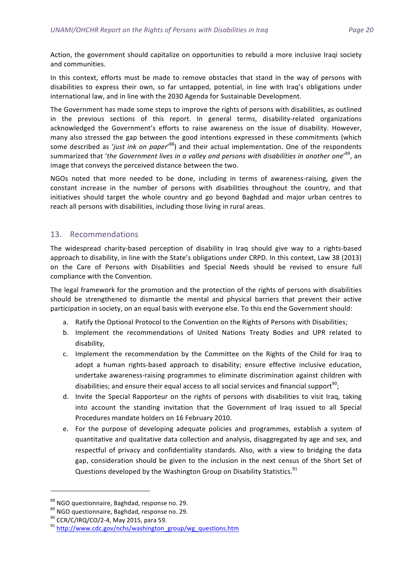Action, the government should capitalize on opportunities to rebuild a more inclusive Iraqi society and communities.

In this context, efforts must be made to remove obstacles that stand in the way of persons with disabilities to express their own, so far untapped, potential, in line with Iraq's obligations under international law, and in line with the 2030 Agenda for Sustainable Development.

The Government has made some steps to improve the rights of persons with disabilities, as outlined in the previous sections of this report. In general terms, disability-related organizations acknowledged the Government's efforts to raise awareness on the issue of disability. However, many also stressed the gap between the good intentions expressed in these commitments (which some described as 'just ink on paper'<sup>88</sup>) and their actual implementation. One of the respondents summarized that 'the Government lives in a valley and persons with disabilities in another one'<sup>89</sup>, an image that conveys the perceived distance between the two.

NGOs noted that more needed to be done, including in terms of awareness-raising, given the constant increase in the number of persons with disabilities throughout the country, and that initiatives should target the whole country and go beyond Baghdad and major urban centres to reach all persons with disabilities, including those living in rural areas.

#### 13. Recommendations

The widespread charity-based perception of disability in Iraq should give way to a rights-based approach to disability, in line with the State's obligations under CRPD. In this context, Law 38 (2013) on the Care of Persons with Disabilities and Special Needs should be revised to ensure full compliance with the Convention.

The legal framework for the promotion and the protection of the rights of persons with disabilities should be strengthened to dismantle the mental and physical barriers that prevent their active participation in society, on an equal basis with everyone else. To this end the Government should:

- a. Ratify the Optional Protocol to the Convention on the Rights of Persons with Disabilities;
- b. Implement the recommendations of United Nations Treaty Bodies and UPR related to disability,
- c. Implement the recommendation by the Committee on the Rights of the Child for Iraq to adopt a human rights-based approach to disability; ensure effective inclusive education, undertake awareness-raising programmes to eliminate discrimination against children with disabilities; and ensure their equal access to all social services and financial support<sup>90</sup>;
- d. Invite the Special Rapporteur on the rights of persons with disabilities to visit Iraq, taking into account the standing invitation that the Government of Iraq issued to all Special Procedures mandate holders on 16 February 2010.
- e. For the purpose of developing adequate policies and programmes, establish a system of quantitative and qualitative data collection and analysis, disaggregated by age and sex, and respectful of privacy and confidentiality standards. Also, with a view to bridging the data gap, consideration should be given to the inclusion in the next census of the Short Set of Questions developed by the Washington Group on Disability Statistics.<sup>91</sup>

<sup>&</sup>lt;sup>88</sup> NGO questionnaire, Baghdad, response no. 29.<br><sup>89</sup> NGO questionnaire, Baghdad, response no. 29.<br><sup>90</sup> CCR/C/IRQ/CO/2-4, May 2015, para 59.<br><sup>91</sup> http://www.cdc.gov/nchs/washington\_group/wg\_questions.htm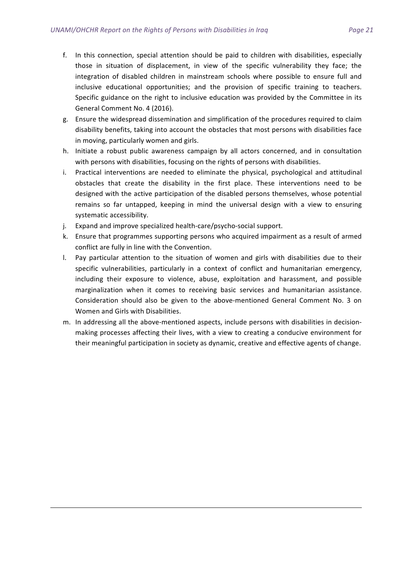- f. In this connection, special attention should be paid to children with disabilities, especially those in situation of displacement, in view of the specific vulnerability they face; the integration of disabled children in mainstream schools where possible to ensure full and inclusive educational opportunities; and the provision of specific training to teachers. Specific guidance on the right to inclusive education was provided by the Committee in its General Comment No. 4 (2016).
- g. Ensure the widespread dissemination and simplification of the procedures required to claim disability benefits, taking into account the obstacles that most persons with disabilities face in moving, particularly women and girls.
- h. Initiate a robust public awareness campaign by all actors concerned, and in consultation with persons with disabilities, focusing on the rights of persons with disabilities.
- i. Practical interventions are needed to eliminate the physical, psychological and attitudinal obstacles that create the disability in the first place. These interventions need to be designed with the active participation of the disabled persons themselves, whose potential remains so far untapped, keeping in mind the universal design with a view to ensuring systematic accessibility.
- j. Expand and improve specialized health-care/psycho-social support.
- k. Ensure that programmes supporting persons who acquired impairment as a result of armed conflict are fully in line with the Convention.
- I. Pay particular attention to the situation of women and girls with disabilities due to their specific vulnerabilities, particularly in a context of conflict and humanitarian emergency, including their exposure to violence, abuse, exploitation and harassment, and possible marginalization when it comes to receiving basic services and humanitarian assistance. Consideration should also be given to the above-mentioned General Comment No. 3 on Women and Girls with Disabilities.
- m. In addressing all the above-mentioned aspects, include persons with disabilities in decisionmaking processes affecting their lives, with a view to creating a conducive environment for their meaningful participation in society as dynamic, creative and effective agents of change.

<u> 1989 - Andrea Santa Andrea Andrea Andrea Andrea Andrea Andrea Andrea Andrea Andrea Andrea Andrea Andrea Andr</u>